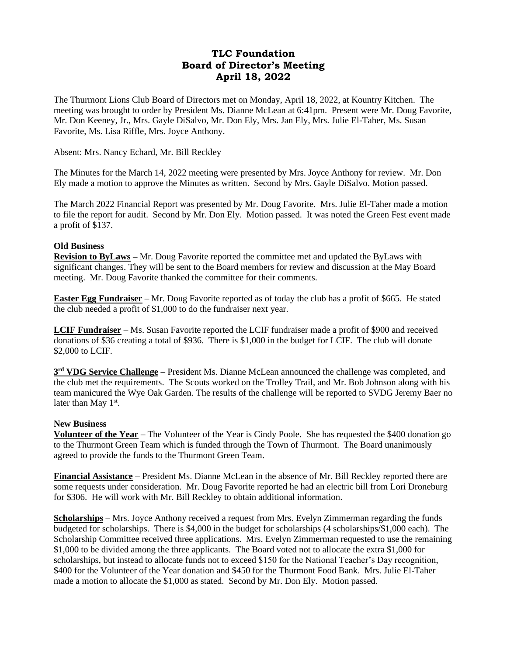# **TLC Foundation Board of Director's Meeting April 18, 2022**

The Thurmont Lions Club Board of Directors met on Monday, April 18, 2022, at Kountry Kitchen. The meeting was brought to order by President Ms. Dianne McLean at 6:41pm. Present were Mr. Doug Favorite, Mr. Don Keeney, Jr., Mrs. Gayle DiSalvo, Mr. Don Ely, Mrs. Jan Ely, Mrs. Julie El-Taher, Ms. Susan Favorite, Ms. Lisa Riffle, Mrs. Joyce Anthony.

# Absent: Mrs. Nancy Echard, Mr. Bill Reckley

The Minutes for the March 14, 2022 meeting were presented by Mrs. Joyce Anthony for review. Mr. Don Ely made a motion to approve the Minutes as written. Second by Mrs. Gayle DiSalvo. Motion passed.

The March 2022 Financial Report was presented by Mr. Doug Favorite. Mrs. Julie El-Taher made a motion to file the report for audit. Second by Mr. Don Ely. Motion passed. It was noted the Green Fest event made a profit of \$137.

# **Old Business**

**Revision to ByLaws –** Mr. Doug Favorite reported the committee met and updated the ByLaws with significant changes. They will be sent to the Board members for review and discussion at the May Board meeting. Mr. Doug Favorite thanked the committee for their comments.

**Easter Egg Fundraiser** – Mr. Doug Favorite reported as of today the club has a profit of \$665. He stated the club needed a profit of \$1,000 to do the fundraiser next year.

**LCIF Fundraiser** – Ms. Susan Favorite reported the LCIF fundraiser made a profit of \$900 and received donations of \$36 creating a total of \$936. There is \$1,000 in the budget for LCIF. The club will donate \$2,000 to LCIF.

**3 rd VDG Service Challenge –** President Ms. Dianne McLean announced the challenge was completed, and the club met the requirements. The Scouts worked on the Trolley Trail, and Mr. Bob Johnson along with his team manicured the Wye Oak Garden. The results of the challenge will be reported to SVDG Jeremy Baer no later than May 1<sup>st</sup>.

# **New Business**

**Volunteer of the Year** – The Volunteer of the Year is Cindy Poole. She has requested the \$400 donation go to the Thurmont Green Team which is funded through the Town of Thurmont. The Board unanimously agreed to provide the funds to the Thurmont Green Team.

**Financial Assistance –** President Ms. Dianne McLean in the absence of Mr. Bill Reckley reported there are some requests under consideration. Mr. Doug Favorite reported he had an electric bill from Lori Droneburg for \$306. He will work with Mr. Bill Reckley to obtain additional information.

**Scholarships** – Mrs. Joyce Anthony received a request from Mrs. Evelyn Zimmerman regarding the funds budgeted for scholarships. There is \$4,000 in the budget for scholarships (4 scholarships/\$1,000 each). The Scholarship Committee received three applications. Mrs. Evelyn Zimmerman requested to use the remaining \$1,000 to be divided among the three applicants. The Board voted not to allocate the extra \$1,000 for scholarships, but instead to allocate funds not to exceed \$150 for the National Teacher's Day recognition, \$400 for the Volunteer of the Year donation and \$450 for the Thurmont Food Bank. Mrs. Julie El-Taher made a motion to allocate the \$1,000 as stated. Second by Mr. Don Ely. Motion passed.